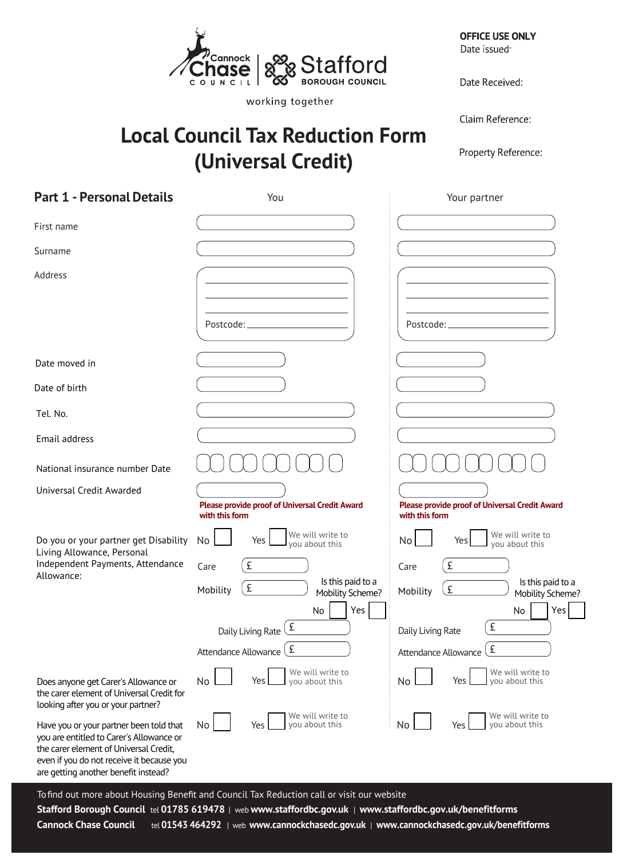

**Local Council Tax Reduction Form** 

**(Universal Credit)** 

working together

**OFFICE USE ONLY** Date issued<sup>.</sup>

Date Received:

Claim Reference:

Property Reference:

| <b>Part 1 - Personal Details</b>                                                                                                                                                                                   | You                                                                         | Your partner                                                     |
|--------------------------------------------------------------------------------------------------------------------------------------------------------------------------------------------------------------------|-----------------------------------------------------------------------------|------------------------------------------------------------------|
| First name                                                                                                                                                                                                         |                                                                             |                                                                  |
| Surname                                                                                                                                                                                                            |                                                                             |                                                                  |
| Address                                                                                                                                                                                                            |                                                                             |                                                                  |
|                                                                                                                                                                                                                    | Postcode:                                                                   | Postcode:                                                        |
| Date moved in                                                                                                                                                                                                      |                                                                             |                                                                  |
| Date of birth                                                                                                                                                                                                      |                                                                             |                                                                  |
| Tel. No.                                                                                                                                                                                                           |                                                                             |                                                                  |
| Email address                                                                                                                                                                                                      |                                                                             |                                                                  |
| National insurance number Date                                                                                                                                                                                     |                                                                             |                                                                  |
| Universal Credit Awarded                                                                                                                                                                                           | Please provide proof of Universal Credit Award<br>with this form            | Please provide proof of Universal Credit Award<br>with this form |
| Do you or your partner get Disability                                                                                                                                                                              | We will write to<br>No<br>Yes<br>you about this                             | We will write to<br>Yes<br>No<br>you about this                  |
| Living Allowance, Personal<br>Independent Payments, Attendance<br>Allowance:                                                                                                                                       | £<br>Care                                                                   | £<br>Care                                                        |
|                                                                                                                                                                                                                    | Is this paid to a<br>£<br>Mobility<br>Mobility Scheme?                      | Is this paid to a<br>£<br>Mobility<br>Mobility Scheme?           |
|                                                                                                                                                                                                                    | Yes<br>No<br>Daily Living Rate $\left(\frac{\mathbf{F}}{\mathbf{F}}\right)$ | Yes<br>No<br>$\sqrt{f}$<br>Daily Living Rate                     |
|                                                                                                                                                                                                                    | £<br>Attendance Allowance                                                   | £<br>Attendance Allowance                                        |
| Does anyone get Carer's Allowance or<br>the carer element of Universal Credit for<br>looking after you or your partner?                                                                                            | We will write to<br>No<br>Yes<br>you about this                             | We will write to<br>Yes<br>No<br>you about this                  |
| Have you or your partner been told that<br>you are entitled to Carer's Allowance or<br>the carer element of Universal Credit,<br>even if you do not receive it because you<br>are getting another benefit instead? | We will write to<br>No<br>you about this<br>Yes                             | We will write to<br>No<br>you about this<br>Yes                  |

Tofind out more about Housing Benefit and Council Tax Reduction call or visit our website

**Stafford Borough Council** tel **01785 619478** | web **www.staffordbc.gov.uk** | **www.staffordbc.gov.uk/benefitforms**

**Cannock Chase Council** tel **01543 464292** | web **www.cannockchasedc.gov.uk** | **www.cannockchasedc.gov.uk/benefitforms**

l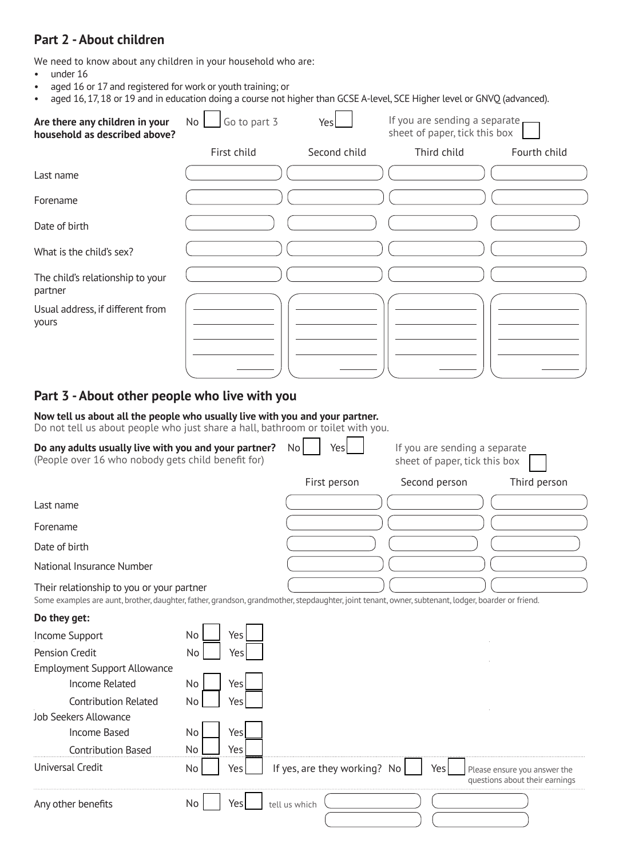### **Part 2 - About children**

We need to know about any children in your household who are:

• under 16

- aged 16 or 17 and registered for work or youth training; or
- aged 16, 17, 18 or 19 and in education doing a course not higher than GCSE A-level, SCE Higher level or GNVO (advanced).

| Are there any children in your<br>household as described above?                                                                                                                                 | Go to part 3<br>No | Yes                          | If you are sending a separate<br>sheet of paper, tick this box |                                                                |
|-------------------------------------------------------------------------------------------------------------------------------------------------------------------------------------------------|--------------------|------------------------------|----------------------------------------------------------------|----------------------------------------------------------------|
|                                                                                                                                                                                                 | First child        | Second child                 | Third child                                                    | Fourth child                                                   |
| Last name                                                                                                                                                                                       |                    |                              |                                                                |                                                                |
| Forename                                                                                                                                                                                        |                    |                              |                                                                |                                                                |
| Date of birth                                                                                                                                                                                   |                    |                              |                                                                |                                                                |
| What is the child's sex?                                                                                                                                                                        |                    |                              |                                                                |                                                                |
| The child's relationship to your<br>partner                                                                                                                                                     |                    |                              |                                                                |                                                                |
| Usual address, if different from<br>yours                                                                                                                                                       |                    |                              |                                                                |                                                                |
| Part 3 - About other people who live with you                                                                                                                                                   |                    |                              |                                                                |                                                                |
| Now tell us about all the people who usually live with you and your partner.<br>Do not tell us about people who just share a hall, bathroom or toilet with you.                                 |                    |                              |                                                                |                                                                |
| Do any adults usually live with you and your partner?<br>(People over 16 who nobody gets child benefit for)                                                                                     |                    | No<br>Yes                    | If you are sending a separate<br>sheet of paper, tick this box |                                                                |
|                                                                                                                                                                                                 |                    | First person                 | Second person                                                  | Third person                                                   |
| Last name                                                                                                                                                                                       |                    |                              |                                                                |                                                                |
| Forename                                                                                                                                                                                        |                    |                              |                                                                |                                                                |
| Date of birth                                                                                                                                                                                   |                    |                              |                                                                |                                                                |
| National Insurance Number                                                                                                                                                                       |                    |                              |                                                                |                                                                |
| Their relationship to you or your partner<br>Some examples are aunt, brother, daughter, father, grandson, grandmother, stepdaughter, joint tenant, owner, subtenant, lodger, boarder or friend. |                    |                              |                                                                |                                                                |
| Do they get:                                                                                                                                                                                    |                    |                              |                                                                |                                                                |
| <b>Income Support</b>                                                                                                                                                                           | Yes<br>No          |                              |                                                                |                                                                |
| Pension Credit                                                                                                                                                                                  | No<br>Yes          |                              |                                                                |                                                                |
| <b>Employment Support Allowance</b><br><b>Income Related</b>                                                                                                                                    | Yes<br>No          |                              |                                                                |                                                                |
| <b>Contribution Related</b>                                                                                                                                                                     | Yes<br>No          |                              |                                                                |                                                                |
| <b>Job Seekers Allowance</b>                                                                                                                                                                    |                    |                              |                                                                |                                                                |
| Income Based                                                                                                                                                                                    | No<br>Yes          |                              |                                                                |                                                                |
| <b>Contribution Based</b>                                                                                                                                                                       | No<br>Yes          |                              |                                                                |                                                                |
| Universal Credit                                                                                                                                                                                | No<br>Yes          | If yes, are they working? No | Yes                                                            | Please ensure you answer the<br>questions about their earnings |
| Any other benefits                                                                                                                                                                              | No<br>Yes          | tell us which                |                                                                |                                                                |

 $\mathcal{L} = \mathcal{L}$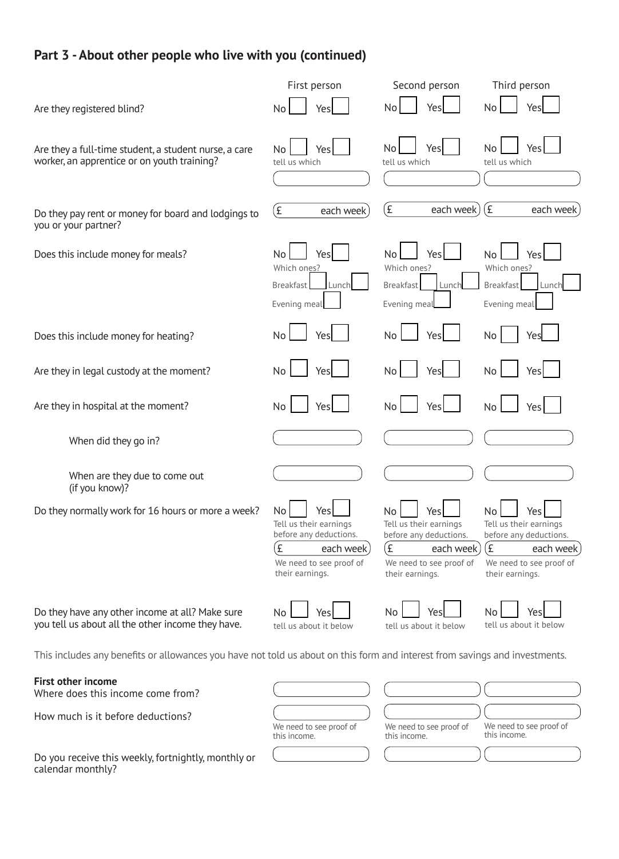## **Part 3 -About other people who live with you (continued)**

|                                                                                                                             | First person                        | Second person                       | Third person                        |
|-----------------------------------------------------------------------------------------------------------------------------|-------------------------------------|-------------------------------------|-------------------------------------|
| Are they registered blind?                                                                                                  | No                                  | No                                  | No                                  |
|                                                                                                                             | Yes                                 | Yes                                 | Yes                                 |
| Are they a full-time student, a student nurse, a care<br>worker, an apprentice or on youth training?                        | Yes<br>No<br>tell us which          | No<br>Yes<br>tell us which          | No<br>Yes<br>tell us which          |
| Do they pay rent or money for board and lodgings to                                                                         | (£                                  | £                                   | (E)                                 |
| you or your partner?                                                                                                        | each week                           | each week)                          | each week                           |
| Does this include money for meals?                                                                                          | No <sub>1</sub>                     | <b>No</b>                           | <b>No</b>                           |
|                                                                                                                             | Yes                                 | Yes                                 | Yes                                 |
|                                                                                                                             | Which ones?                         | Which ones?                         | Which ones?                         |
|                                                                                                                             | Breakfast                           | <b>Breakfast</b>                    | <b>Breakfast</b>                    |
|                                                                                                                             | Lunch                               | Lunch                               | Lunch                               |
|                                                                                                                             | Evening meal                        | Evening meal                        | Evening meal                        |
| Does this include money for heating?                                                                                        | <b>No</b>                           | <b>No</b>                           | <b>No</b>                           |
|                                                                                                                             | Yes                                 | Yes                                 | Yes                                 |
| Are they in legal custody at the moment?                                                                                    | No                                  | No                                  | <b>No</b>                           |
|                                                                                                                             | Yes                                 | Yes                                 | Yes                                 |
| Are they in hospital at the moment?                                                                                         | No                                  | No                                  | <b>No</b>                           |
|                                                                                                                             | Yes                                 | Yes                                 | Yes                                 |
| When did they go in?                                                                                                        |                                     |                                     |                                     |
| When are they due to come out<br>(if you know)?                                                                             |                                     |                                     |                                     |
| Do they normally work for 16 hours or more a week?                                                                          | No Yes                              | No Yes                              | No<br>Yes  L                        |
|                                                                                                                             | Tell us their earnings              | Tell us their earnings              | Tell us their earnings              |
|                                                                                                                             | before any deductions.              | before any deductions.              | before any deductions.              |
|                                                                                                                             | £                                   | (£                                  | (£                                  |
|                                                                                                                             | each week                           | each week                           | each week                           |
|                                                                                                                             | We need to see proof of             | We need to see proof of             | We need to see proof of             |
|                                                                                                                             | their earnings.                     | their earnings.                     | their earnings.                     |
| Do they have any other income at all? Make sure<br>you tell us about all the other income they have.                        | No<br>Yes<br>tell us about it below | No<br>Yes<br>tell us about it below | No<br>Yes<br>tell us about it below |
| This includes any benefits or allowances you have not told us about on this form and interest from savings and investments. |                                     |                                     |                                     |

**First other income** 

Where does this income come from?

How much is it before deductions?<br>  $W$   $W$ <br>
th

Do you receive this weekly, fortnightly, monthly or calendar monthly?

| We need to see proof of<br>this income. | We need to see proof of<br>this income. | We need to see proof of<br>this income. |
|-----------------------------------------|-----------------------------------------|-----------------------------------------|
|                                         |                                         |                                         |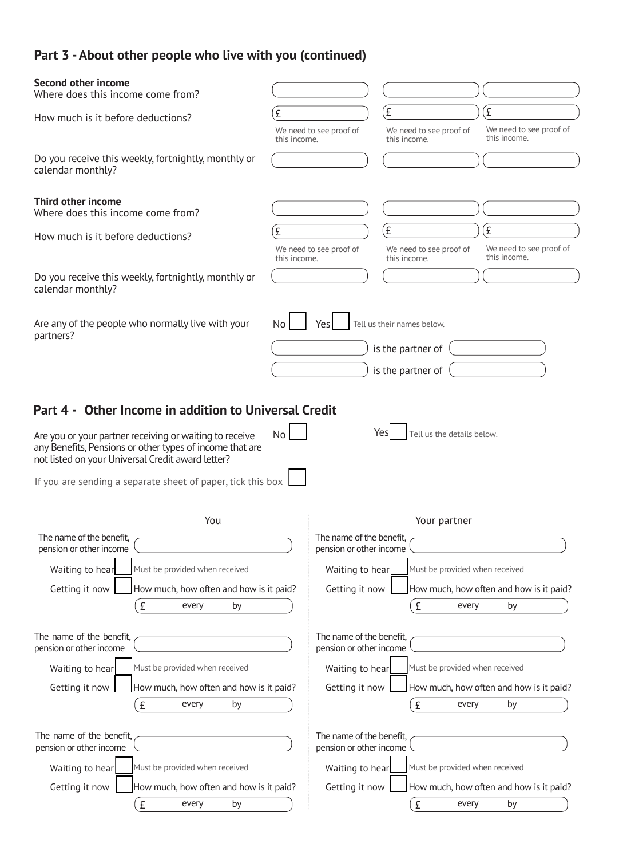# **Part 3 -About other people who live with you (continued)**

| Second other income<br>Where does this income come from?                                                                                                                 |              |                                                           |                                                                      |                                              |
|--------------------------------------------------------------------------------------------------------------------------------------------------------------------------|--------------|-----------------------------------------------------------|----------------------------------------------------------------------|----------------------------------------------|
| How much is it before deductions?                                                                                                                                        | £            | $\mathbf{f}$<br>We need to see proof of                   | We need to see proof of                                              | $\mathbf{f}$<br>We need to see proof of      |
| Do you receive this weekly, fortnightly, monthly or<br>calendar monthly?                                                                                                 | this income. |                                                           | this income.                                                         | this income.                                 |
| Third other income<br>Where does this income come from?                                                                                                                  |              |                                                           |                                                                      |                                              |
| How much is it before deductions?                                                                                                                                        | £            | (£<br>We need to see proof of                             | We need to see proof of                                              | £<br>We need to see proof of<br>this income. |
| Do you receive this weekly, fortnightly, monthly or<br>calendar monthly?                                                                                                 | this income. |                                                           | this income.                                                         |                                              |
| Are any of the people who normally live with your<br>partners?                                                                                                           | No           | Yes                                                       | Tell us their names below.<br>is the partner of<br>is the partner of |                                              |
| Part 4 - Other Income in addition to Universal Credit                                                                                                                    |              |                                                           |                                                                      |                                              |
| Are you or your partner receiving or waiting to receive<br>any Benefits, Pensions or other types of income that are<br>not listed on your Universal Credit award letter? | <b>No</b>    | Yesl                                                      | Tell us the details below.                                           |                                              |
| If you are sending a separate sheet of paper, tick this box                                                                                                              |              |                                                           |                                                                      |                                              |
| You                                                                                                                                                                      |              |                                                           | Your partner                                                         |                                              |
| The name of the benefit,<br>pension or other income                                                                                                                      |              | The name of the benefit,<br>pension or other income       |                                                                      |                                              |
| Must be provided when received<br>Waiting to hear                                                                                                                        |              | Waiting to hear                                           | Must be provided when received                                       |                                              |
| How much, how often and how is it paid?<br>Getting it now                                                                                                                |              | Getting it now<br>How much, how often and how is it paid? |                                                                      |                                              |
| £<br>every<br>by                                                                                                                                                         |              |                                                           | £<br>every                                                           | by                                           |
| The name of the benefit,<br>pension or other income                                                                                                                      |              | The name of the benefit,<br>pension or other income       |                                                                      |                                              |
| Waiting to hear<br>Must be provided when received                                                                                                                        |              | Waiting to hear                                           | Must be provided when received                                       |                                              |
| Getting it now<br>How much, how often and how is it paid?                                                                                                                |              | Getting it now                                            |                                                                      | How much, how often and how is it paid?      |
| £<br>every<br>by                                                                                                                                                         |              |                                                           | £<br>every                                                           | by                                           |
| The name of the benefit,<br>pension or other income                                                                                                                      |              | The name of the benefit,<br>pension or other income       |                                                                      |                                              |
| Waiting to hear<br>Must be provided when received                                                                                                                        |              | Waiting to hear                                           | Must be provided when received                                       |                                              |
| Getting it now<br>How much, how often and how is it paid?                                                                                                                |              | Getting it now                                            |                                                                      | How much, how often and how is it paid?      |
| £<br>by<br>every                                                                                                                                                         |              |                                                           | £<br>every                                                           | by                                           |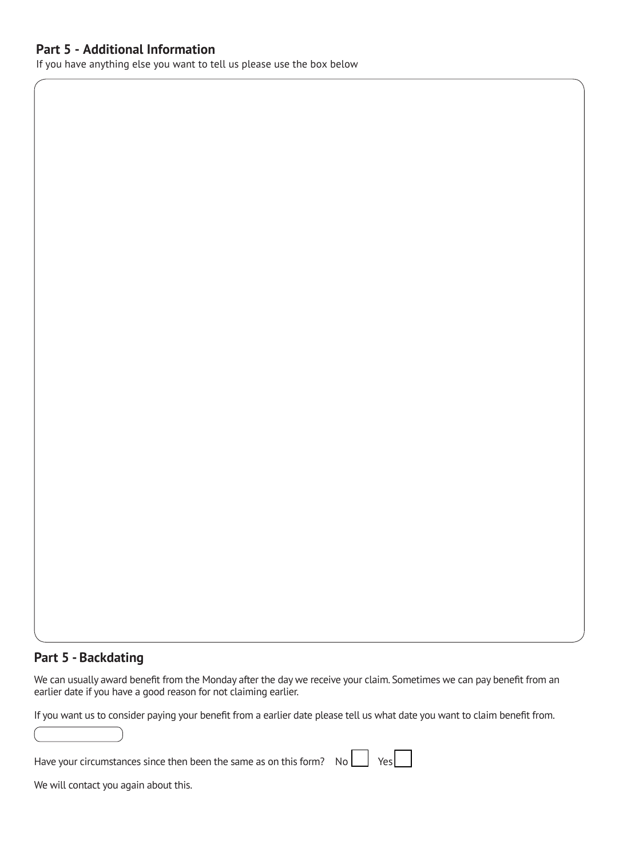### **Part 5 - Additional Information**

If you have anything else you want to tell us please use the box below

### **Part 5 - Backdating**

 We can usually award benefit from the Monday after the day we receive your claim. Sometimes we can pay benefit from an earlier date if you have a good reason for not claiming earlier.

If you want us to consider paying your benefit from a earlier date please tell us what date you want to claim benefit from.

| Have your circumstances since then been the same as on this form? $\overline{N_0}$ $\overline{N_1}$ Yes |  |  |  |
|---------------------------------------------------------------------------------------------------------|--|--|--|
|---------------------------------------------------------------------------------------------------------|--|--|--|

We will contact you again about this.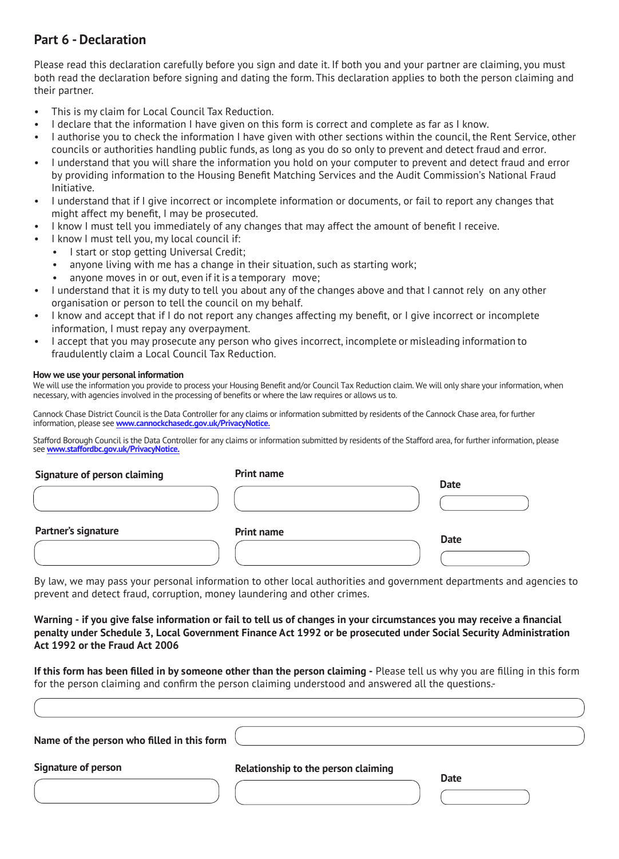## **Part 6 - Declaration**

Please read this declaration carefully before you sign and date it. If both you and your partner are claiming, you must both read the declaration before signing and dating the form. This declaration applies to both the person claiming and their partner.

- This is my claim for Local Council Tax Reduction.
- I declare that the information I have given on this form is correct and complete as far as I know.
- I authorise you to check the information I have given with other sections within the council, the Rent Service, other councils or authorities handling public funds, as long as you do so only to prevent and detect fraud and error.
- I understand that you will share the information you hold on your computer to prevent and detect fraud and error by providing information to the Housing Benefit Matching Services and the Audit Commission's National Fraud Initiative.
- I understand that if I give incorrect or incomplete information or documents, or fail to report any changes that might affect my benefit, I may be prosecuted.
- I know I must tell you immediately of any changes that may affect the amount of benefit I receive.
- I know I must tell you, my local council if:
	- I start or stop getting Universal Credit;
		- anyone living with me has a change in their situation, such as starting work;
		- anyone moves in or out, even if it is a temporary move;
- I understand that it is my duty to tell you about any of the changes above and that I cannot rely on any other organisation or person to tell the council on my behalf.
- I know and accept that if I do not report any changes affecting my benefit, or I give incorrect or incomplete information, I must repay any overpayment.
- I accept that you may prosecute any person who gives incorrect, incomplete or misleading information to fraudulently claim a Local Council Tax Reduction.

#### **How we use your personal information**

We will use the information you provide to process your Housing Benefit and/or Council Tax Reduction claim. We will only share your information, when necessary, with agencies involved in the processing of benefits or where the law requires or allows us to.

Cannock Chase District Council is the Data Controller for any claims or information submitted by residents of the Cannock Chase area, for further information, please see **[www.cannockchasedc.gov.uk/PrivacyNotice.](www.cannockchasedc.gov.uk/PrivacyNotice)**

Stafford Borough Council is the Data Controller for any claims or information submitted by residents of the Stafford area, for further information, please see **<www.staffordbc.gov.uk/PrivacyNotice>.**

| Signature of person claiming | <b>Print name</b> |             |
|------------------------------|-------------------|-------------|
|                              |                   | <b>Date</b> |
| Partner's signature          | <b>Print name</b> | <b>Date</b> |
|                              |                   |             |

By law, we may pass your personal information to other local authorities and government departments and agencies to prevent and detect fraud, corruption, money laundering and other crimes.

#### **Warning - if you give false information or fail to tell us of changes in your circumstances you may receive a financial penalty under Schedule 3, Local Government Finance Act 1992 or be prosecuted under Social Security Administration Act 1992 or the Fraud Act 2006**

**If this form has been filled in by someone other than the person claiming - Please tell us why you are filling in this form** for the person claiming and confirm the person claiming understood and answered all the questions.-

| Name of the person who filled in this form |                                     |             |
|--------------------------------------------|-------------------------------------|-------------|
| <b>Signature of person</b>                 | Relationship to the person claiming |             |
|                                            |                                     | <b>Date</b> |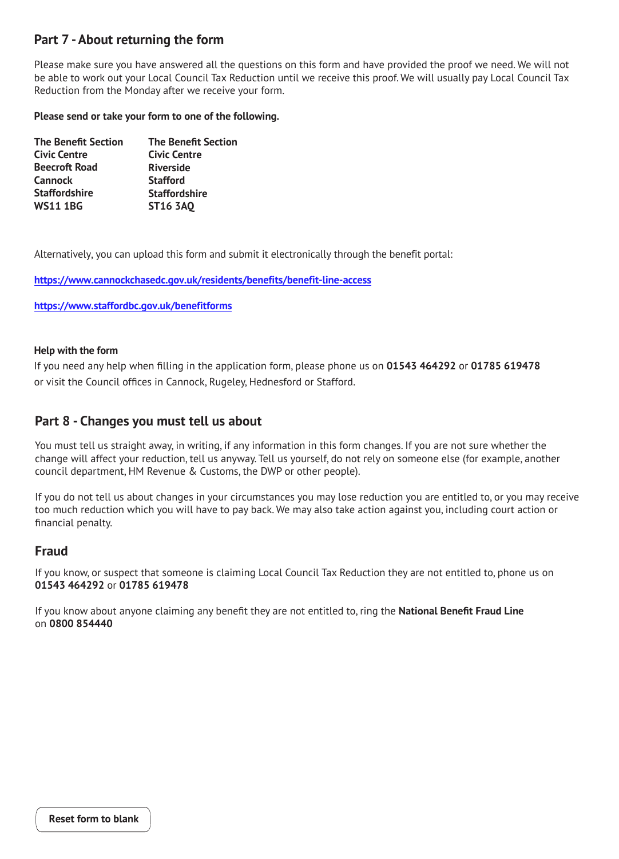## **Part 7 -About returning the form**

Please make sure you have answered all the questions on this form and have provided the proof we need. We will not be able to work out your Local Council Tax Reduction until we receive this proof. We will usually pay Local Council Tax Reduction from the Monday after we receive your form.

#### **Please send or take your form to one of the following.**

| <b>The Benefit Section</b> |
|----------------------------|
| <b>Civic Centre</b>        |
| <b>Riverside</b>           |
| <b>Stafford</b>            |
| <b>Staffordshire</b>       |
| <b>ST16 3AO</b>            |
|                            |

Alternatively, you can upload this form and submit it electronically through the benefit portal:

**https://www.cannockchasedc.gov.uk/residents/benefits/benefit-line-access**

**https://www.staffordbc.gov.uk/benefitforms**

#### **Help with the form**

If you need any help when filling in the application form, please phone us on **01543 464292** or **01785 619478**  or visit the Council offices in Cannock, Rugeley, Hednesford or Stafford.

### **Part 8 - Changes you must tell us about**

change will affect your reduction, tell us anyway. Tell us yourself, do not rely on someone else (for example, another You must tell us straight away, in writing, if any information in this form changes. If you are not sure whether the council department, HM Revenue & Customs, the DWP or other people).

If you do not tell us about changes in your circumstances you may lose reduction you are entitled to, or you may r eceive too much reduction which you will have to pay back. We may also take action against you, including court action or financial penalty.

### **Fraud**

If you know, or suspect that someone is claiming Local Council Tax Reduction they are not entitled to, phone us on **01543 464292** or **01785 619478** 

If you know about anyone claiming any benefit they are not entitled to, ring the **National Benefit Fraud Line**  on **0800 854440**